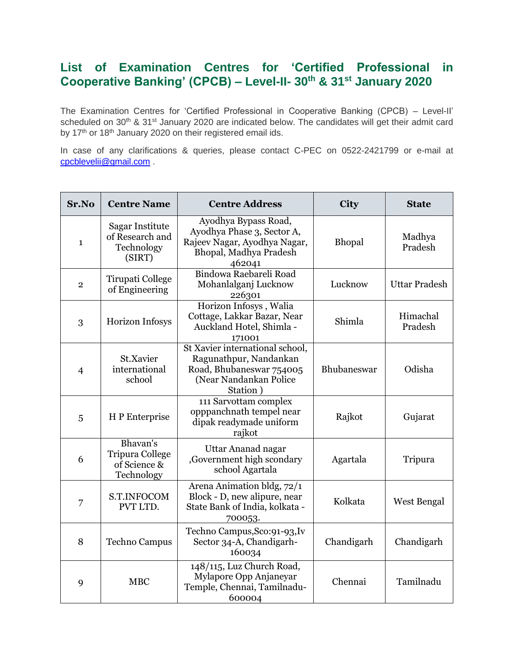## **List of Examination Centres for 'Certified Professional in Cooperative Banking' (CPCB) – Level-II- 30th & 31st January 2020**

The Examination Centres for 'Certified Professional in Cooperative Banking (CPCB) – Level-II' scheduled on 30<sup>th</sup> & 31<sup>st</sup> January 2020 are indicated below. The candidates will get their admit card by 17<sup>th</sup> or 18<sup>th</sup> January 2020 on their registered email ids.

In case of any clarifications & queries, please contact C-PEC on 0522-2421799 or e-mail at [cpcblevelii@gmail.com](mailto:cpcblevelii@gmail.com) .

| Sr.No          | <b>Centre Name</b>                                               | <b>Centre Address</b>                                                                                                       | <b>City</b> | <b>State</b>         |
|----------------|------------------------------------------------------------------|-----------------------------------------------------------------------------------------------------------------------------|-------------|----------------------|
| $\mathbf{1}$   | Sagar Institute<br>of Research and<br>Technology<br>(SIRT)       | Ayodhya Bypass Road,<br>Ayodhya Phase 3, Sector A,<br>Rajeev Nagar, Ayodhya Nagar,<br>Bhopal, Madhya Pradesh<br>462041      | Bhopal      | Madhya<br>Pradesh    |
| $\overline{2}$ | Tirupati College<br>of Engineering                               | Bindowa Raebareli Road<br>Mohanlalganj Lucknow<br>226301                                                                    | Lucknow     | <b>Uttar Pradesh</b> |
| 3              | <b>Horizon Infosys</b>                                           | Horizon Infosys, Walia<br>Cottage, Lakkar Bazar, Near<br>Auckland Hotel, Shimla -<br>171001                                 | Shimla      | Himachal<br>Pradesh  |
| $\overline{4}$ | St.Xavier<br>international<br>school                             | St Xavier international school,<br>Ragunathpur, Nandankan<br>Road, Bhubaneswar 754005<br>(Near Nandankan Police<br>Station) | Bhubaneswar | Odisha               |
| 5              | H P Enterprise                                                   | 111 Sarvottam complex<br>opppanchnath tempel near<br>dipak readymade uniform<br>rajkot                                      | Rajkot      | Gujarat              |
| 6              | Bhavan's<br><b>Tripura College</b><br>of Science &<br>Technology | Uttar Ananad nagar<br>Government high scondary<br>school Agartala                                                           | Agartala    | Tripura              |
| 7              | S.T.INFOCOM<br>PVT LTD.                                          | Arena Animation bldg, 72/1<br>Block - D, new alipure, near<br>State Bank of India, kolkata -<br>700053.                     | Kolkata     | West Bengal          |
| 8              | <b>Techno Campus</b>                                             | Techno Campus, Sco: 91-93, Iv<br>Sector 34-A, Chandigarh-<br>160034                                                         | Chandigarh  | Chandigarh           |
| 9              | <b>MBC</b>                                                       | 148/115, Luz Church Road,<br>Mylapore Opp Anjaneyar<br>Temple, Chennai, Tamilnadu-<br>600004                                | Chennai     | Tamilnadu            |